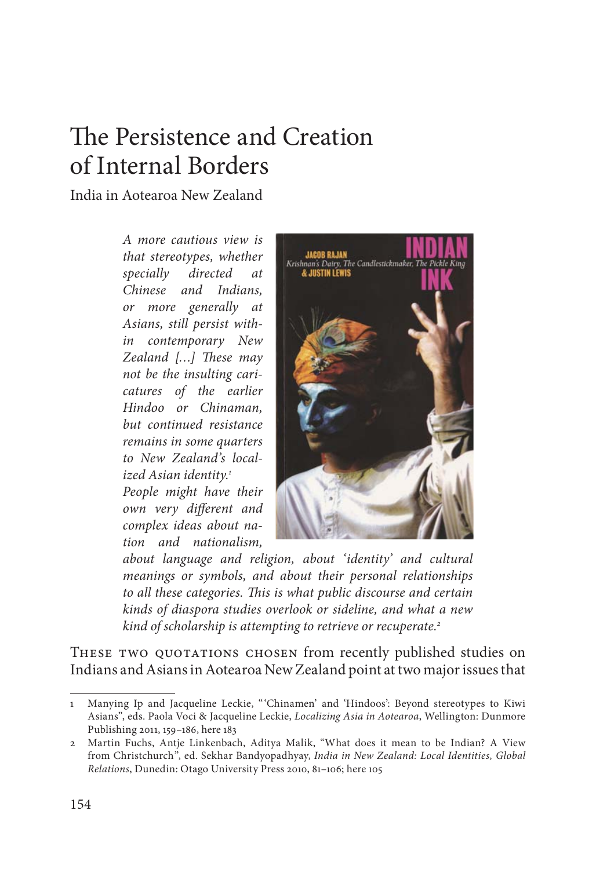## The Persistence and Creation of Internal Borders

India in Aotearoa New Zealand

*A more cautious view is that stereotypes, whether*  specially directed at *Chinese and Indians, or more gen erally at Asians, still persist within contemporary New Zealand [...]* These may *not be the insulting caricatures of the earlier Hin doo or Chinaman, but con tinued resistance remains in some quar ters to New Zealand's localized Asian iden tity.1 People might have their*   $own$  very different and *complex ideas about na-*

*tion and nationalism,* 



*about language and religion, about 'identity' and cultural meanings or symbols, and about their personal relationships*  to all these categories. This is what public discourse and certain *kinds of diaspora studies overlook or sideline, and what a new*  kind of scholarship is attempting to retrieve or recuperate.<sup>2</sup>

THESE TWO QUOTATIONS CHOSEN from recently published studies on Indians and Asians in Aotearoa New Zealand point at two major issues that

<sup>1</sup> Manying Ip and Jacqueline Leckie, " 'Chinamen' and 'Hindoos': Beyond stereotypes to Kiwi Asians", eds. Paola Voci & Jacqueline Leckie, *Localizing Asia in Aotearoa*, Wellington: Dunmore Publishing 2011, 159–186, here 183

<sup>2</sup> Martin Fuchs, Antje Linkenbach, Aditya Malik, "What does it mean to be Indian? A View from Christchurch", ed. Sekhar Bandyopadhyay, *India in New Zealand: Local Identities, Global Relations*, Dunedin: Otago University Press 2010, 81–106; here 105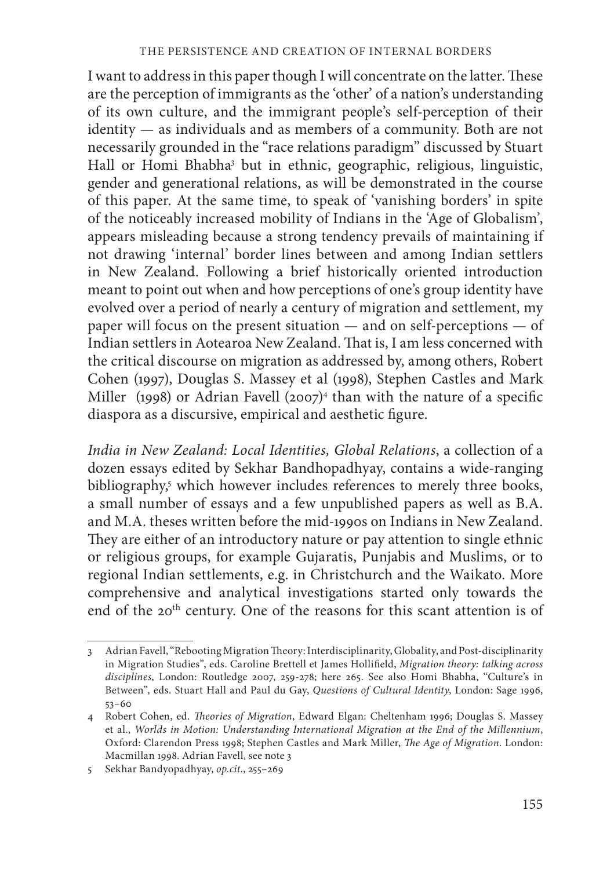I want to address in this paper though I will concentrate on the latter. These are the perception of immigrants as the 'other' of a nation's understanding of its own culture, and the immigrant people's self-perception of their identity — as individuals and as members of a community. Both are not necessarily grounded in the "race relations paradigm" discussed by Stuart Hall or Homi Bhabha<sup>3</sup> but in ethnic, geographic, religious, linguistic, gender and generational relations, as will be demonstrated in the course of this paper. At the same time, to speak of 'vanishing borders' in spite of the noticeably increased mobility of Indians in the 'Age of Globalism', appears misleading because a strong tendency prevails of maintaining if not drawing 'internal' border lines between and among Indian settlers in New Zealand. Following a brief historically oriented introduction meant to point out when and how perceptions of one's group identity have evolved over a period of nearly a century of migration and settlement, my paper will focus on the present situation — and on self-perceptions — of Indian settlers in Aotearoa New Zealand. That is, I am less concerned with the critical discourse on migration as addressed by, among others, Robert Cohen (1997), Douglas S. Massey et al (1998), Stephen Castles and Mark Miller (1998) or Adrian Favell (2007)<sup>4</sup> than with the nature of a specific diaspora as a discursive, empirical and aesthetic figure.

*India in New Zealand: Local Identities, Global Relations*, a collection of a dozen essays edited by Sekhar Bandhopadhyay, contains a wide-ranging bibliography,<sup>5</sup> which however includes references to merely three books, a small number of essays and a few unpublished papers as well as B.A. and M.A. theses written before the mid-1990s on Indians in New Zealand. They are either of an introductory nature or pay attention to single ethnic or religious groups, for example Gujaratis, Punjabis and Muslims, or to regional Indian settlements, e.g. in Christchurch and the Waikato. More comprehensive and analytical investigations started only towards the end of the 20<sup>th</sup> century. One of the reasons for this scant attention is of

<sup>3</sup> Adrian Favell, "Rebooting Migration Theory: Interdisciplinarity, Globality, and Post-disciplinarity in Migration Studies", eds. Caroline Brettell et James Hollifield, *Migration theory: talking across disciplines*, London: Routledge 2007, 259-278; here 265. See also Homi Bhabha, "Culture's in Between", eds. Stuart Hall and Paul du Gay, *Questions of Cultural Identity*, London: Sage 1996, 53–60

<sup>4</sup> Robert Cohen, ed. *Th eories of Migration*, Edward Elgan: Cheltenham 1996; Douglas S. Massey et al., *Worlds in Motion: Understanding International Migration at the End of the Millennium*, Oxford: Clarendon Press 1998; Stephen Castles and Mark Miller, *The Age of Migration*. London: Macmillan 1998. Adrian Favell, see note 3

<sup>5</sup> Sekhar Bandyopadhyay, *op.cit*., 255–269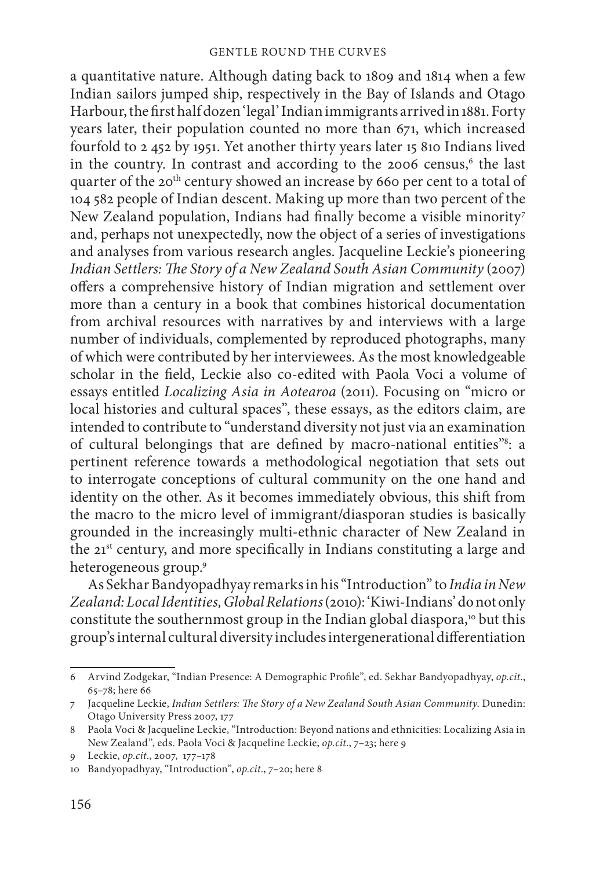a quantitative nature. Although dating back to 1809 and 1814 when a few Indian sailors jumped ship, respectively in the Bay of Islands and Otago Harbour, the first half dozen 'legal' Indian immigrants arrived in 1881. Forty years later, their population counted no more than 671, which increased fourfold to 2 452 by 1951. Yet another thirty years later 15 810 Indians lived in the country. In contrast and according to the 2006 census,<sup>6</sup> the last quarter of the 20<sup>th</sup> century showed an increase by 660 per cent to a total of 104 582 people of Indian descent. Making up more than two percent of the New Zealand population, Indians had finally become a visible minority<sup>7</sup> and, perhaps not unexpectedly, now the object of a series of investigations and analyses from various research angles. Jacqueline Leckie's pioneering *Indian Settlers: The Story of a New Zealand South Asian Community* (2007) offers a comprehensive history of Indian migration and settlement over more than a century in a book that combines historical documentation from archival resources with narratives by and interviews with a large number of individuals, complemented by reproduced photographs, many of which were contributed by her interviewees. As the most knowledgeable scholar in the field, Leckie also co-edited with Paola Voci a volume of essays entitled *Localizing Asia in Aotearoa* (2011). Focusing on "micro or local histories and cultural spaces", these essays, as the editors claim, are intended to contribute to "understand diversity not just via an examination of cultural belongings that are defined by macro-national entities"<sup>8</sup>: a pertinent reference towards a methodological negotiation that sets out to interrogate conceptions of cultural community on the one hand and identity on the other. As it becomes immediately obvious, this shift from the macro to the micro level of immigrant/diasporan studies is basically grounded in the increasingly multi-ethnic character of New Zealand in the  $21^{st}$  century, and more specifically in Indians constituting a large and heterogeneous group.9

As Sekhar Bandyopadhyay remarks in his "Introduction" to *India in New Zealand: Local Identities, Global Relations* (2010): 'Kiwi-Indians' do not only constitute the southernmost group in the Indian global diaspora,<sup>10</sup> but this group's internal cultural diversity includes intergenerational differentiation

<sup>6</sup> Arvind Zodgekar, "Indian Presence: A Demographic Profi le", ed. Sekhar Bandyopadhyay, *op.cit*., 65–78; here 66

<sup>7</sup> Jacqueline Leckie, *Indian Settlers: The Story of a New Zealand South Asian Community*. Dunedin: Otago University Press 2007, 177

<sup>8</sup> Paola Voci & Jacqueline Leckie, "Introduction: Beyond nations and ethnicities: Localizing Asia in New Zealand", eds. Paola Voci & Jacqueline Leckie, *op.cit*., 7–23; here 9

<sup>9</sup> Leckie, *op.cit*., 2007, 177–178

<sup>10</sup> Bandyopadhyay, "Introduction", *op.cit*., 7–20; here 8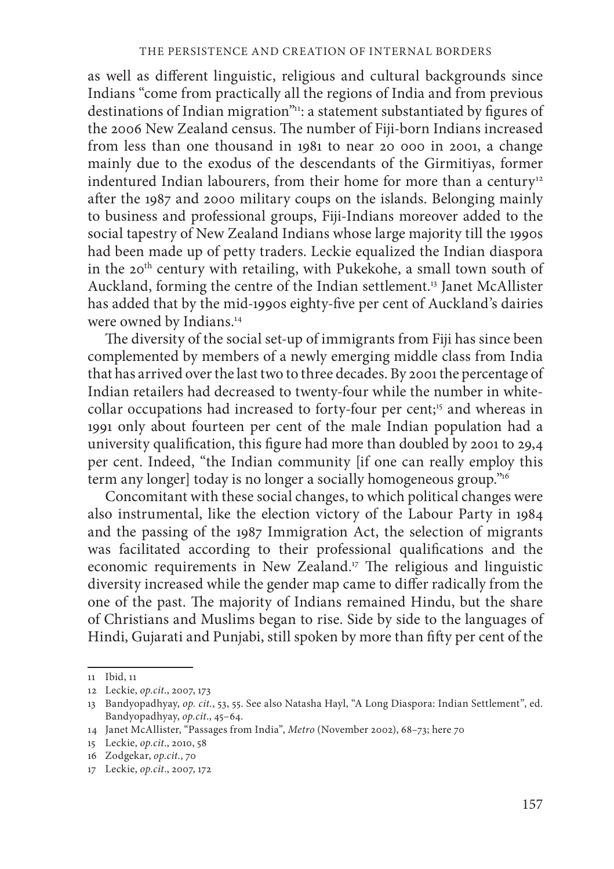as well as different linguistic, religious and cultural backgrounds since Indians "come from practically all the regions of India and from previous destinations of Indian migration"<sup>11</sup>: a statement substantiated by figures of the 2006 New Zealand census. The number of Fiji-born Indians increased from less than one thousand in 1981 to near 20 000 in 2001, a change mainly due to the exodus of the descendants of the Girmitiyas, former indentured Indian labourers, from their home for more than a century<sup>12</sup> after the 1987 and 2000 military coups on the islands. Belonging mainly to business and professional groups, Fiji-Indians moreover added to the social tapestry of New Zealand Indians whose large majority till the 1990s had been made up of petty traders. Leckie equalized the Indian diaspora in the 20<sup>th</sup> century with retailing, with Pukekohe, a small town south of Auckland, forming the centre of the Indian settlement.<sup>13</sup> Janet McAllister has added that by the mid-1990s eighty-five per cent of Auckland's dairies were owned by Indians.<sup>14</sup>

The diversity of the social set-up of immigrants from Fiji has since been complemented by members of a newly emerging middle class from India that has arrived over the last two to three decades. By 2001 the percentage of Indian retailers had decreased to twenty-four while the number in whitecollar occupations had increased to forty-four per cent;<sup>15</sup> and whereas in 1991 only about fourteen per cent of the male Indian population had a university qualification, this figure had more than doubled by 2001 to 29,4 per cent. Indeed, "the Indian community [if one can really employ this term any longer] today is no longer a socially homogeneous group."<sup>16</sup>

Concomitant with these social changes, to which political changes were also instrumental, like the election victory of the Labour Party in 1984 and the passing of the 1987 Immigration Act, the selection of migrants was facilitated according to their professional qualifications and the economic requirements in New Zealand.<sup>17</sup> The religious and linguistic diversity increased while the gender map came to differ radically from the one of the past. The majority of Indians remained Hindu, but the share of Christians and Muslims began to rise. Side by side to the languages of Hindi, Gujarati and Punjabi, still spoken by more than fifty per cent of the

<sup>11</sup> Ibid, 11

<sup>12</sup> Leckie, *op.cit*., 2007, 173

<sup>13</sup> Bandyopadhyay, *op. cit.*, 53, 55. See also Natasha Hayl, "A Long Diaspora: Indian Settlement", ed. Bandyopadhyay, *op.cit*., 45–64.

<sup>14</sup> Janet McAllister, "Passages from India", *Metro* (November 2002), 68–73; here 70

<sup>15</sup> Leckie, *op.cit*., 2010, 58

<sup>16</sup> Zodgekar, *op.cit.*, 70

<sup>17</sup> Leckie, *op.cit*., 2007, 172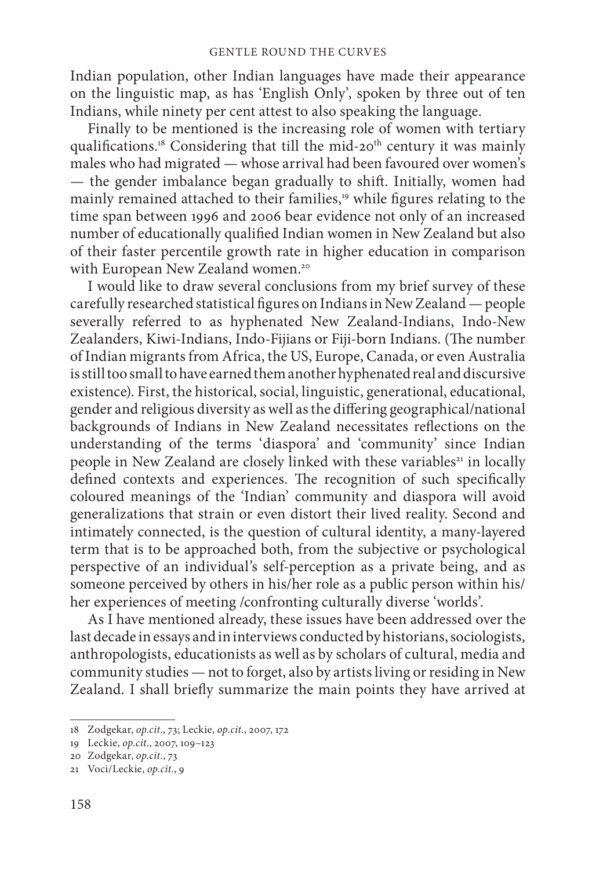Indian population, other Indian languages have made their appearance on the linguistic map, as has 'English Only', spoken by three out of ten Indians, while ninety per cent attest to also speaking the language.

Finally to be mentioned is the increasing role of women with tertiary qualifications.<sup>18</sup> Considering that till the mid-20<sup>th</sup> century it was mainly males who had migrated — whose arrival had been favoured over women's — the gender imbalance began gradually to shift. Initially, women had mainly remained attached to their families,<sup>19</sup> while figures relating to the time span between 1996 and 2006 bear evidence not only of an increased number of educationally qualified Indian women in New Zealand but also of their faster percentile growth rate in higher education in comparison with European New Zealand women.<sup>20</sup>

I would like to draw several conclusions from my brief survey of these carefully researched statistical figures on Indians in New Zealand — people severally referred to as hyphenated New Zealand-Indians, Indo-New Zealanders, Kiwi-Indians, Indo-Fijians or Fiji-born Indians. (The number of Indian migrants from Africa, the US, Europe, Canada, or even Australia is still too small to have earned them another hyphenated real and discursive existence). First, the historical, social, linguistic, generational, educational, gender and religious diversity as well as the differing geographical/national backgrounds of Indians in New Zealand necessitates reflections on the understanding of the terms 'diaspora' and 'community' since Indian people in New Zealand are closely linked with these variables<sup>21</sup> in locally defined contexts and experiences. The recognition of such specifically coloured meanings of the 'Indian' community and diaspora will avoid generalizations that strain or even distort their lived reality. Second and intimately connected, is the question of cultural identity, a many-layered term that is to be approached both, from the subjective or psychological perspective of an individual's self-perception as a private being, and as someone perceived by others in his/her role as a public person within his/ her experiences of meeting /confronting culturally diverse 'worlds'.

As I have mentioned already, these issues have been addressed over the last decade in essays and in interviews conducted by historians, sociologists, anthropologists, educationists as well as by scholars of cultural, media and community studies — not to forget, also by artists living or residing in New Zealand. I shall briefly summarize the main points they have arrived at

<sup>18</sup> Zodgekar, *op.cit*., 73; Leckie, *op.cit*., 2007, 172

<sup>19</sup> Leckie, *op.cit*., 2007, 109–123

<sup>20</sup> Zodgekar, *op.cit.*, 73

<sup>21</sup> Voci/Leckie, *op.cit*., 9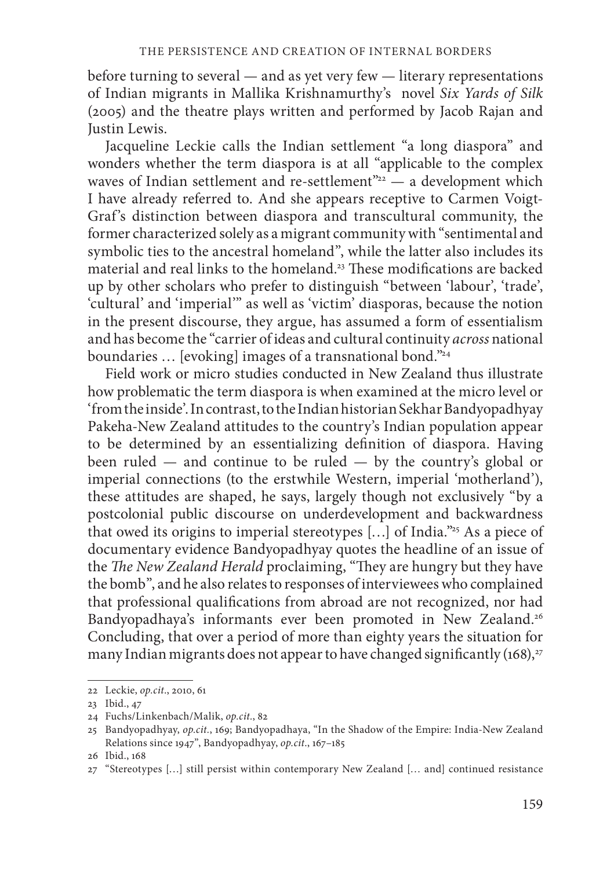before turning to several — and as yet very few — literary representations of Indian migrants in Mallika Krishnamurthy's novel *Six Yards of Silk* (2005) and the theatre plays written and performed by Jacob Rajan and Justin Lewis.

Jacqueline Leckie calls the Indian settlement "a long diaspora" and wonders whether the term diaspora is at all "applicable to the complex waves of Indian settlement and re-settlement"<sup>22</sup> — a development which I have already referred to. And she appears receptive to Carmen Voigt-Graf's distinction between diaspora and transcultural community, the former characterized solely as a migrant community with "sentimental and symbolic ties to the ancestral homeland", while the latter also includes its material and real links to the homeland.<sup>23</sup> These modifications are backed up by other scholars who prefer to distinguish "between 'labour', 'trade', 'cultural' and 'imperial'" as well as 'victim' diasporas, because the notion in the present discourse, they argue, has assumed a form of essentialism and has become the "carrier of ideas and cultural continuity *across* national boundaries ... [evoking] images of a transnational bond."<sup>24</sup>

Field work or micro studies conducted in New Zealand thus illustrate how problematic the term diaspora is when examined at the micro level or 'from the inside'. In contrast, to the Indian historian Sekhar Bandyopadhyay Pakeha-New Zealand attitudes to the country's Indian population appear to be determined by an essentializing definition of diaspora. Having been ruled — and continue to be ruled — by the country's global or imperial connections (to the erstwhile Western, imperial 'motherland'), these attitudes are shaped, he says, largely though not exclusively "by a postcolonial public discourse on underdevelopment and backwardness that owed its origins to imperial stereotypes  $[...]$  of India."<sup>25</sup> As a piece of documentary evidence Bandyopadhyay quotes the headline of an issue of the *The New Zealand Herald* proclaiming, "They are hungry but they have the bomb", and he also relates to responses of interviewees who complained that professional qualifications from abroad are not recognized, nor had Bandyopadhaya's informants ever been promoted in New Zealand.<sup>26</sup> Concluding, that over a period of more than eighty years the situation for many Indian migrants does not appear to have changed significantly  $(168)^{27}$ 

<sup>22</sup> Leckie, *op.cit*., 2010, 61

<sup>23</sup> Ibid., 47

<sup>24</sup> Fuchs/Linkenbach/Malik, *op.cit.*, 82

<sup>25</sup> Bandyopadhyay, *op.cit.*, 169; Bandyopadhaya, "In the Shadow of the Empire: India-New Zealand Relations since 1947", Bandyopadhyay, *op.cit*., 167–185

<sup>26</sup> Ibid., 168

<sup>27 &</sup>quot;Stereotypes […] still persist within contemporary New Zealand [… and] continued resistance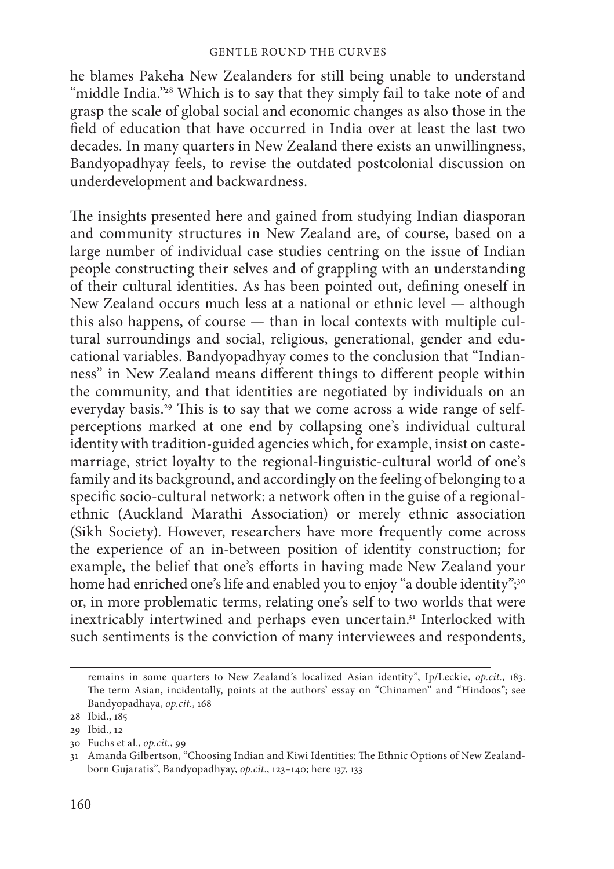he blames Pakeha New Zealanders for still being unable to understand "middle India."<sup>28</sup> Which is to say that they simply fail to take note of and grasp the scale of global social and economic changes as also those in the field of education that have occurred in India over at least the last two decades. In many quarters in New Zealand there exists an unwillingness, Bandyopadhyay feels, to revise the outdated postcolonial discussion on underdevelopment and backwardness.

The insights presented here and gained from studying Indian diasporan and community structures in New Zealand are, of course, based on a large number of individual case studies centring on the issue of Indian people constructing their selves and of grappling with an understanding of their cultural identities. As has been pointed out, defining oneself in New Zealand occurs much less at a national or ethnic level — although this also happens, of course — than in local contexts with multiple cultural surroundings and social, religious, generational, gender and educational variables. Bandyopadhyay comes to the conclusion that "Indianness" in New Zealand means different things to different people within the community, and that identities are negotiated by individuals on an everyday basis.<sup>29</sup> This is to say that we come across a wide range of selfperceptions marked at one end by collapsing one's individual cultural identity with tradition-guided agencies which, for example, insist on castemarriage, strict loyalty to the regional-linguistic-cultural world of one's family and its background, and accordingly on the feeling of belonging to a specific socio-cultural network: a network often in the guise of a regionalethnic (Auckland Marathi Association) or merely ethnic association (Sikh Society). However, researchers have more frequently come across the experience of an in-between position of identity construction; for example, the belief that one's efforts in having made New Zealand your home had enriched one's life and enabled you to enjoy "a double identity";<sup>30</sup> or, in more problematic terms, relating one's self to two worlds that were inextricably intertwined and perhaps even uncertain.<sup>31</sup> Interlocked with such sentiments is the conviction of many interviewees and respondents,

remains in some quarters to New Zealand's localized Asian identity", Ip/Leckie, *op.cit.*, 183. The term Asian, incidentally, points at the authors' essay on "Chinamen" and "Hindoos"; see Bandyopadhaya, *op.cit.*, 168

<sup>28</sup> Ibid., 185

<sup>29</sup> Ibid., 12

<sup>30</sup> Fuchs et al., *op.cit.*, 99

<sup>31</sup> Amanda Gilbertson, "Choosing Indian and Kiwi Identities: The Ethnic Options of New Zealandborn Gujaratis", Bandyopadhyay, *op.cit.*, 123–140; here 137, 133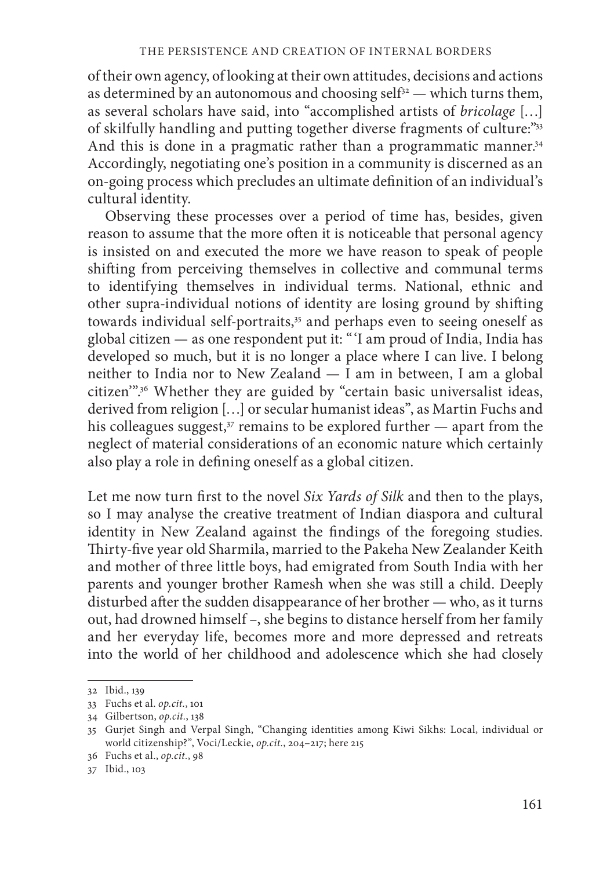of their own agency, of looking at their own attitudes, decisions and actions as determined by an autonomous and choosing self<sup>32</sup> — which turns them, as several scholars have said, into "accomplished artists of *bricolage* […] of skilfully handling and putting together diverse fragments of culture:"33 And this is done in a pragmatic rather than a programmatic manner.<sup>34</sup> Accordingly, negotiating one's position in a community is discerned as an on-going process which precludes an ultimate definition of an individual's cultural identity.

Observing these processes over a period of time has, besides, given reason to assume that the more often it is noticeable that personal agency is insisted on and executed the more we have reason to speak of people shifting from perceiving themselves in collective and communal terms to identifying themselves in individual terms. National, ethnic and other supra-individual notions of identity are losing ground by shifting towards individual self-portraits,<sup>35</sup> and perhaps even to seeing oneself as global citizen — as one respondent put it: "'I am proud of India, India has developed so much, but it is no longer a place where I can live. I belong neither to India nor to New Zealand — I am in between, I am a global citizen'".36 Whether they are guided by "certain basic universalist ideas, derived from religion […] or secular humanist ideas", as Martin Fuchs and his colleagues suggest, $37$  remains to be explored further  $-$  apart from the neglect of material considerations of an economic nature which certainly also play a role in defining oneself as a global citizen.

Let me now turn first to the novel *Six Yards of Silk* and then to the plays, so I may analyse the creative treatment of Indian diaspora and cultural identity in New Zealand against the findings of the foregoing studies. Thirty-five year old Sharmila, married to the Pakeha New Zealander Keith and mother of three little boys, had emigrated from South India with her parents and younger brother Ramesh when she was still a child. Deeply disturbed after the sudden disappearance of her brother — who, as it turns out, had drowned himself –, she begins to distance herself from her family and her everyday life, becomes more and more depressed and retreats into the world of her childhood and adolescence which she had closely

<sup>32</sup> Ibid., 139

<sup>33</sup> Fuchs et al. *op.cit.*, 101

<sup>34</sup> Gilbertson, *op.cit.*, 138

<sup>35</sup> Gurjet Singh and Verpal Singh, "Changing identities among Kiwi Sikhs: Local, individual or world citizenship?", Voci/Leckie, *op.cit.*, 204–217; here 215

<sup>36</sup> Fuchs et al., *op.cit.*, 98

<sup>37</sup> Ibid., 103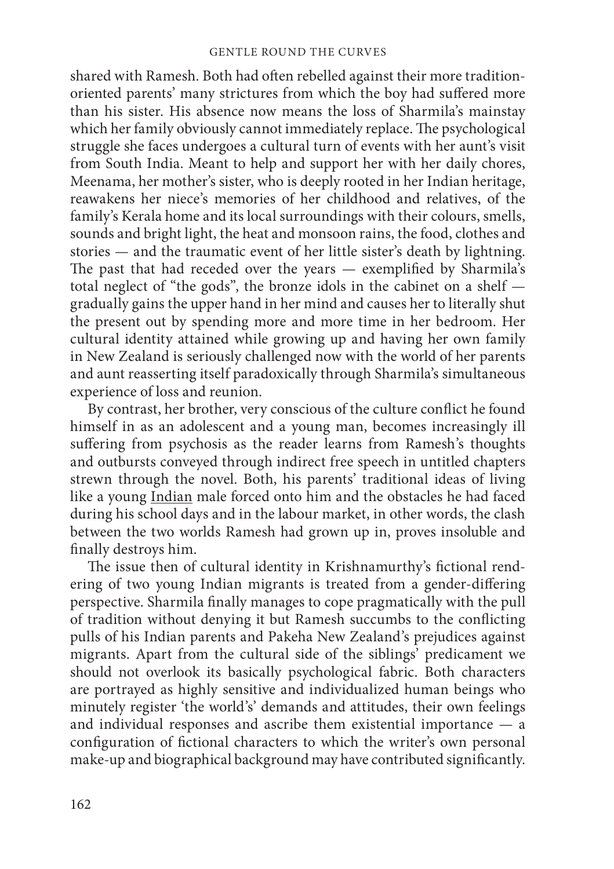shared with Ramesh. Both had often rebelled against their more traditionoriented parents' many strictures from which the boy had suffered more than his sister. His absence now means the loss of Sharmila's mainstay which her family obviously cannot immediately replace. The psychological struggle she faces undergoes a cultural turn of events with her aunt's visit from South India. Meant to help and support her with her daily chores, Meenama, her mother's sister, who is deeply rooted in her Indian heritage, reawakens her niece's memories of her childhood and relatives, of the family's Kerala home and its local surroundings with their colours, smells, sounds and bright light, the heat and monsoon rains, the food, clothes and stories — and the traumatic event of her little sister's death by lightning. The past that had receded over the years  $-$  exemplified by Sharmila's total neglect of "the gods", the bronze idols in the cabinet on a shelf gradually gains the upper hand in her mind and causes her to literally shut the present out by spending more and more time in her bedroom. Her cultural identity attained while growing up and having her own family in New Zealand is seriously challenged now with the world of her parents and aunt reasserting itself paradoxically through Sharmila's simultaneous experience of loss and reunion.

By contrast, her brother, very conscious of the culture conflict he found himself in as an adolescent and a young man, becomes increasingly ill suffering from psychosis as the reader learns from Ramesh's thoughts and outbursts conveyed through indirect free speech in untitled chapters strewn through the novel. Both, his parents' traditional ideas of living like a young Indian male forced onto him and the obstacles he had faced during his school days and in the labour market, in other words, the clash between the two worlds Ramesh had grown up in, proves insoluble and finally destroys him.

The issue then of cultural identity in Krishnamurthy's fictional rendering of two young Indian migrants is treated from a gender-differing perspective. Sharmila finally manages to cope pragmatically with the pull of tradition without denying it but Ramesh succumbs to the conflicting pulls of his Indian parents and Pakeha New Zealand's prejudices against migrants. Apart from the cultural side of the siblings' predicament we should not overlook its basically psychological fabric. Both characters are portrayed as highly sensitive and individualized human beings who minutely register 'the world's' demands and attitudes, their own feelings and individual responses and ascribe them existential importance — a configuration of fictional characters to which the writer's own personal make-up and biographical background may have contributed significantly.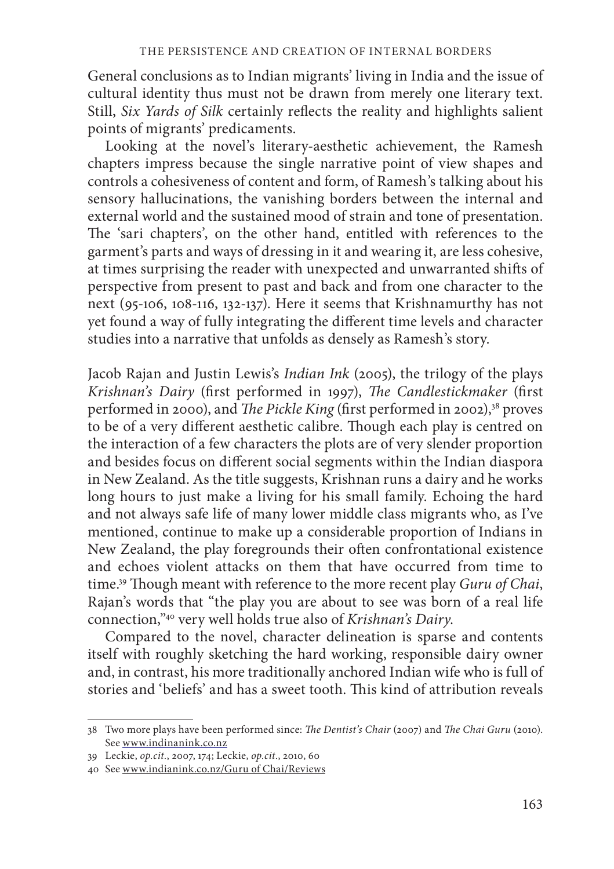General conclusions as to Indian migrants' living in India and the issue of cultural identity thus must not be drawn from merely one literary text. Still, *Six Yards of Silk* certainly reflects the reality and highlights salient points of migrants' predicaments.

Looking at the novel's literary-aesthetic achievement, the Ramesh chapters impress because the single narrative point of view shapes and controls a cohesiveness of content and form, of Ramesh's talking about his sensory hallucinations, the vanishing borders between the internal and external world and the sustained mood of strain and tone of presentation. The 'sari chapters', on the other hand, entitled with references to the garment's parts and ways of dressing in it and wearing it, are less cohesive, at times surprising the reader with unexpected and unwarranted shifts of perspective from present to past and back and from one character to the next (95-106, 108-116, 132-137). Here it seems that Krishnamurthy has not yet found a way of fully integrating the different time levels and character studies into a narrative that unfolds as densely as Ramesh's story.

Jacob Rajan and Justin Lewis's *Indian Ink* (2005), the trilogy of the plays *Krishnan's Dairy* (first performed in 1997), *The Candlestickmaker* (first performed in 2000), and *The Pickle King* (first performed in 2002),<sup>38</sup> proves to be of a very different aesthetic calibre. Though each play is centred on the interaction of a few characters the plots are of very slender proportion and besides focus on different social segments within the Indian diaspora in New Zealand. As the title suggests, Krishnan runs a dairy and he works long hours to just make a living for his small family. Echoing the hard and not always safe life of many lower middle class migrants who, as I've mentioned, continue to make up a considerable proportion of Indians in New Zealand, the play foregrounds their often confrontational existence and echoes violent attacks on them that have occurred from time to time.<sup>39</sup> Though meant with reference to the more recent play *Guru of Chai*, Rajan's words that "the play you are about to see was born of a real life connection,"40 very well holds true also of *Krishnan's Dairy*.

Compared to the novel, character delineation is sparse and contents itself with roughly sketching the hard working, responsible dairy owner and, in contrast, his more traditionally anchored Indian wife who is full of stories and 'beliefs' and has a sweet tooth. This kind of attribution reveals

<sup>38</sup> Two more plays have been performed since: *The Dentist's Chair* (2007) and *The Chai Guru* (2010). See www.indinanink.co.nz

<sup>39</sup> Leckie, *op.cit.*, 2007, 174; Leckie, *op.cit*., 2010, 60

<sup>40</sup> See www.indianink.co.nz/Guru of Chai/Reviews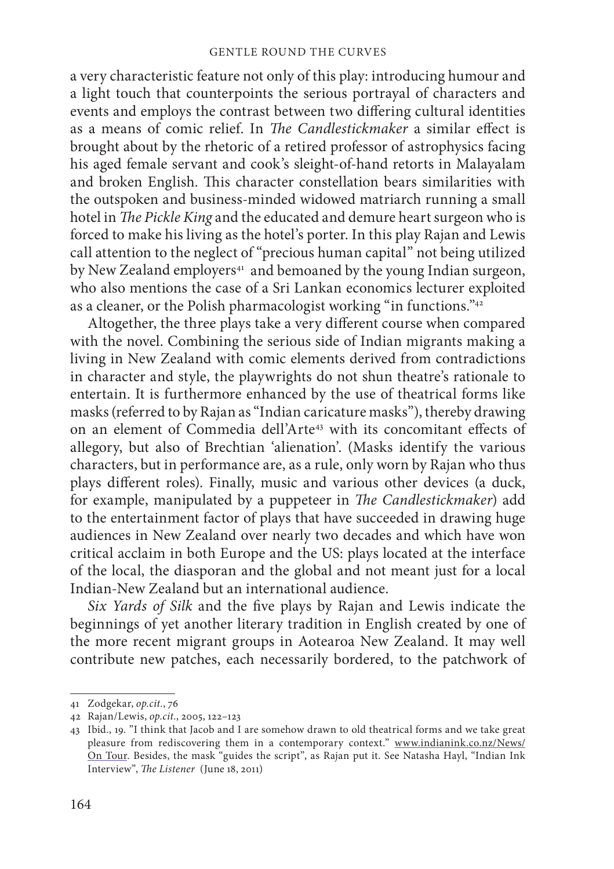a very characteristic feature not only of this play: introducing humour and a light touch that counterpoints the serious portrayal of characters and events and employs the contrast between two differing cultural identities as a means of comic relief. In *The Candlestickmaker* a similar effect is brought about by the rhetoric of a retired professor of astrophysics facing his aged female servant and cook's sleight-of-hand retorts in Malayalam and broken English. This character constellation bears similarities with the outspoken and business-minded widowed matriarch running a small hotel in *The Pickle King* and the educated and demure heart surgeon who is forced to make his living as the hotel's porter. In this play Rajan and Lewis call attention to the neglect of "precious human capital" not being utilized by New Zealand employers<sup>41</sup> and bemoaned by the young Indian surgeon, who also mentions the case of a Sri Lankan economics lecturer exploited as a cleaner, or the Polish pharmacologist working "in functions."42

Altogether, the three plays take a very different course when compared with the novel. Combining the serious side of Indian migrants making a living in New Zealand with comic elements derived from contradictions in character and style, the playwrights do not shun theatre's rationale to entertain. It is furthermore enhanced by the use of theatrical forms like masks (referred to by Rajan as "Indian caricature masks"), thereby drawing on an element of Commedia dell'Arte<sup>43</sup> with its concomitant effects of allegory, but also of Brechtian 'alienation'. (Masks identify the various characters, but in performance are, as a rule, only worn by Rajan who thus plays different roles). Finally, music and various other devices (a duck, for example, manipulated by a puppeteer in *The Candlestickmaker*) add to the entertainment factor of plays that have succeeded in drawing huge audiences in New Zealand over nearly two decades and which have won critical acclaim in both Europe and the US: plays located at the interface of the local, the diasporan and the global and not meant just for a local Indian-New Zealand but an international audience.

*Six Yards of Silk* and the five plays by Rajan and Lewis indicate the beginnings of yet another literary tradition in English created by one of the more recent migrant groups in Aotearoa New Zealand. It may well contribute new patches, each necessarily bordered, to the patchwork of

<sup>41</sup> Zodgekar, *op.cit.*, 76

<sup>42</sup> Rajan/Lewis, *op.cit.*, 2005, 122–123

<sup>43</sup> Ibid., 19. "I think that Jacob and I are somehow drawn to old theatrical forms and we take great pleasure from rediscovering them in a contemporary context." www.indianink.co.nz/News/ On Tour. Besides, the mask "guides the script", as Rajan put it. See Natasha Hayl, "Indian Ink Interview", *The Listener* (June 18, 2011)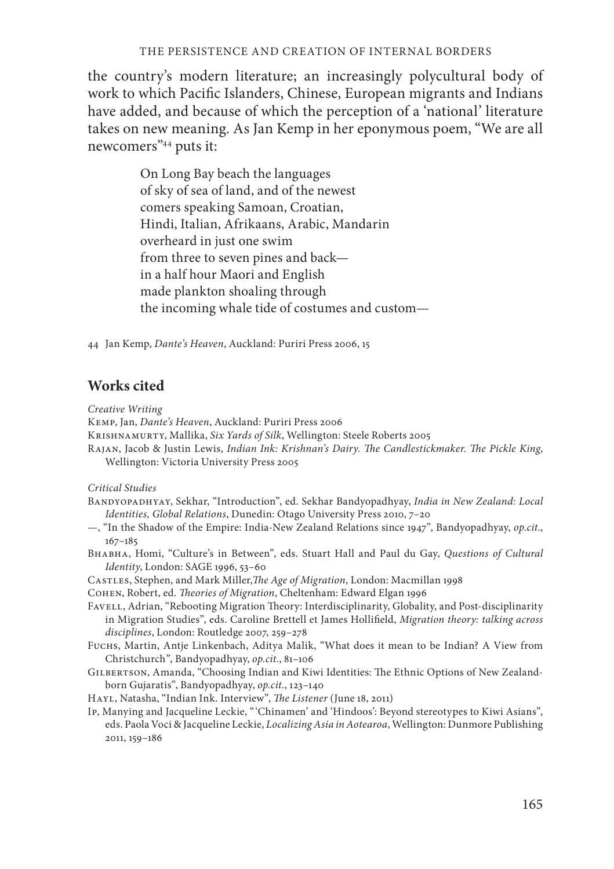the country's modern literature; an increasingly polycultural body of work to which Pacific Islanders, Chinese, European migrants and Indians have added, and because of which the perception of a 'national' literature takes on new meaning. As Jan Kemp in her eponymous poem, "We are all newcomers"44 puts it:

> On Long Bay beach the languages of sky of sea of land, and of the newest comers speaking Samoan, Croatian, Hindi, Italian, Afrikaans, Arabic, Mandarin overheard in just one swim from three to seven pines and back in a half hour Maori and English made plankton shoaling through the incoming whale tide of costumes and custom—

44 Jan Kemp, *Dante's Heaven*, Auckland: Puriri Press 2006, 15

## **Works cited**

*Creative Writing*

Kemp, Jan, *Dante's Heaven*, Auckland: Puriri Press 2006

Krishnamurty, Mallika, *Six Yards of Silk*, Wellington: Steele Roberts 2005

RAJAN, Jacob & Justin Lewis, *Indian Ink: Krishnan's Dairy. The Candlestickmaker. The Pickle King*, Wellington: Victoria University Press 2005

*Critical Studies* 

- Bandyopadhyay, Sekhar, "Introduction", ed. Sekhar Bandyopadhyay, *India in New Zealand: Local Identities, Global Relations*, Dunedin: Otago University Press 2010, 7–20
- —, "In the Shadow of the Empire: India-New Zealand Relations since 1947", Bandyopadhyay, *op.cit*., 167–185

Bhabha, Homi, "Culture's in Between", eds. Stuart Hall and Paul du Gay, *Questions of Cultural Identity*, London: SAGE 1996, 53–60

CASTLES, Stephen, and Mark Miller, The Age of Migration, London: Macmillan 1998

COHEN, Robert, ed. *Theories of Migration*, Cheltenham: Edward Elgan 1996

FAVELL, Adrian, "Rebooting Migration Theory: Interdisciplinarity, Globality, and Post-disciplinarity in Migration Studies", eds. Caroline Brettell et James Hollifield, *Migration theory: talking across disciplines*, London: Routledge 2007, 259–278

Fuchs, Martin, Antje Linkenbach, Aditya Malik, "What does it mean to be Indian? A View from Christchurch", Bandyopadhyay, *op.cit.*, 81–106

GILBERTSON, Amanda, "Choosing Indian and Kiwi Identities: The Ethnic Options of New Zealandborn Gujaratis", Bandyopadhyay, *op.cit.*, 123–140

HAYL, Natasha, "Indian Ink. Interview", *The Listener* (June 18, 2011)

Ip, Manying and Jacqueline Leckie, " 'Chinamen' and 'Hindoos': Beyond stereotypes to Kiwi Asians", eds. Paola Voci & Jacqueline Leckie, *Localizing Asia in Aotearoa*, Wellington: Dunmore Publishing 2011, 159–186